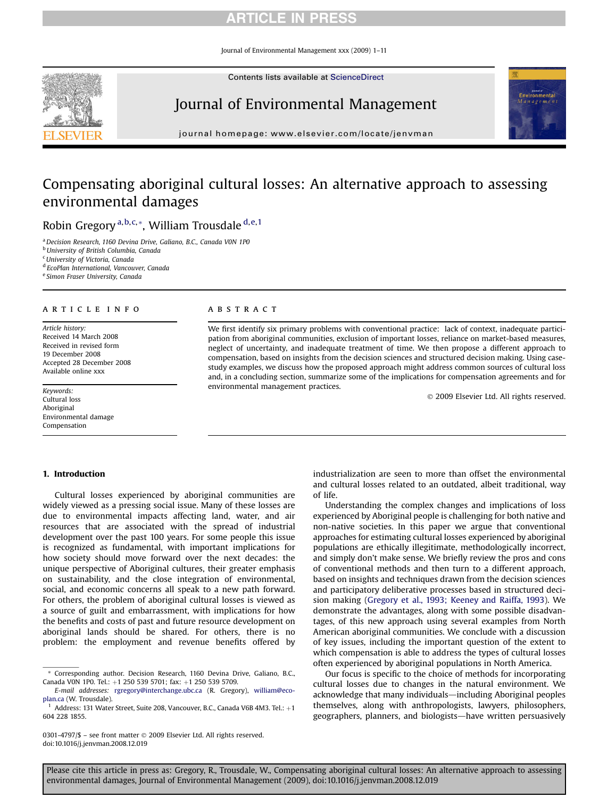Journal of Environmental Management xxx (2009) 1–11

Contents lists available at [ScienceDirect](www.sciencedirect.com/science/journal/03014797)



# Journal of Environmental Management



journal homepage: [www.elsevier.com/locate/jenvman](http://www.elsevier.com/locate/jenvman)

# Compensating aboriginal cultural losses: An alternative approach to assessing environmental damages

Robin Gregory<sup>a, b, c,  $*$ </sup>, William Trousdale<sup>d, e, 1</sup>

<sup>a</sup> Decision Research, 1160 Devina Drive, Galiano, B.C., Canada V0N 1P0 <sup>b</sup> University of British Columbia, Canada <sup>c</sup> University of Victoria, Canada <sup>d</sup> EcoPlan International, Vancouver, Canada <sup>e</sup> Simon Fraser University, Canada

#### article info

Article history: Received 14 March 2008 Received in revised form 19 December 2008 Accepted 28 December 2008 Available online xxx

Keywords: Cultural loss Aboriginal Environmental damage Compensation

**ABSTRACT** 

We first identify six primary problems with conventional practice: lack of context, inadequate participation from aboriginal communities, exclusion of important losses, reliance on market-based measures, neglect of uncertainty, and inadequate treatment of time. We then propose a different approach to compensation, based on insights from the decision sciences and structured decision making. Using casestudy examples, we discuss how the proposed approach might address common sources of cultural loss and, in a concluding section, summarize some of the implications for compensation agreements and for environmental management practices.

- 2009 Elsevier Ltd. All rights reserved.

### 1. Introduction

Cultural losses experienced by aboriginal communities are widely viewed as a pressing social issue. Many of these losses are due to environmental impacts affecting land, water, and air resources that are associated with the spread of industrial development over the past 100 years. For some people this issue is recognized as fundamental, with important implications for how society should move forward over the next decades: the unique perspective of Aboriginal cultures, their greater emphasis on sustainability, and the close integration of environmental, social, and economic concerns all speak to a new path forward. For others, the problem of aboriginal cultural losses is viewed as a source of guilt and embarrassment, with implications for how the benefits and costs of past and future resource development on aboriginal lands should be shared. For others, there is no problem: the employment and revenue benefits offered by

industrialization are seen to more than offset the environmental and cultural losses related to an outdated, albeit traditional, way of life.

Understanding the complex changes and implications of loss experienced by Aboriginal people is challenging for both native and non-native societies. In this paper we argue that conventional approaches for estimating cultural losses experienced by aboriginal populations are ethically illegitimate, methodologically incorrect, and simply don't make sense. We briefly review the pros and cons of conventional methods and then turn to a different approach, based on insights and techniques drawn from the decision sciences and participatory deliberative processes based in structured decision making ([Gregory et al., 1993; Keeney and Raiffa, 1993\)](#page-10-0). We demonstrate the advantages, along with some possible disadvantages, of this new approach using several examples from North American aboriginal communities. We conclude with a discussion of key issues, including the important question of the extent to which compensation is able to address the types of cultural losses often experienced by aboriginal populations in North America.

Our focus is specific to the choice of methods for incorporating cultural losses due to changes in the natural environment. We acknowledge that many individuals—including Aboriginal peoples themselves, along with anthropologists, lawyers, philosophers, geographers, planners, and biologists—have written persuasively

<sup>\*</sup> Corresponding author. Decision Research, 1160 Devina Drive, Galiano, B.C., Canada V0N 1P0. Tel.: +1 250 539 5701; fax: +1 250 539 5709.

E-mail addresses: [rgregory@interchange.ubc.ca](mailto:rgregory@interchange.ubc.ca) (R. Gregory), [william@eco](mailto:william@ecoplan.ca)[plan.ca](mailto:william@ecoplan.ca) (W. Trousdale).

<sup>&</sup>lt;sup>1</sup> Address: 131 Water Street, Suite 208, Vancouver, B.C., Canada V6B 4M3. Tel.:  $+1$ 604 228 1855.

<sup>0301-4797/\$ –</sup> see front matter © 2009 Elsevier Ltd. All rights reserved. doi:10.1016/j.jenvman.2008.12.019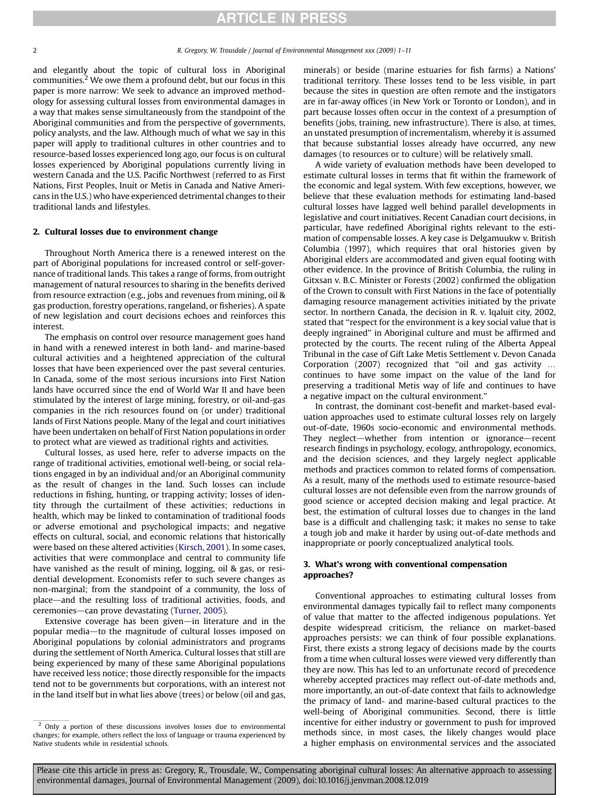and elegantly about the topic of cultural loss in Aboriginal communities. $2$  We owe them a profound debt, but our focus in this paper is more narrow: We seek to advance an improved methodology for assessing cultural losses from environmental damages in a way that makes sense simultaneously from the standpoint of the Aboriginal communities and from the perspective of governments, policy analysts, and the law. Although much of what we say in this paper will apply to traditional cultures in other countries and to resource-based losses experienced long ago, our focus is on cultural losses experienced by Aboriginal populations currently living in western Canada and the U.S. Pacific Northwest (referred to as First Nations, First Peoples, Inuit or Metis in Canada and Native Americans in the U.S.) who have experienced detrimental changes to their traditional lands and lifestyles.

### 2. Cultural losses due to environment change

Throughout North America there is a renewed interest on the part of Aboriginal populations for increased control or self-governance of traditional lands. This takes a range of forms, from outright management of natural resources to sharing in the benefits derived from resource extraction (e.g., jobs and revenues from mining, oil & gas production, forestry operations, rangeland, or fisheries). A spate of new legislation and court decisions echoes and reinforces this interest.

The emphasis on control over resource management goes hand in hand with a renewed interest in both land- and marine-based cultural activities and a heightened appreciation of the cultural losses that have been experienced over the past several centuries. In Canada, some of the most serious incursions into First Nation lands have occurred since the end of World War II and have been stimulated by the interest of large mining, forestry, or oil-and-gas companies in the rich resources found on (or under) traditional lands of First Nations people. Many of the legal and court initiatives have been undertaken on behalf of First Nation populations in order to protect what are viewed as traditional rights and activities.

Cultural losses, as used here, refer to adverse impacts on the range of traditional activities, emotional well-being, or social relations engaged in by an individual and/or an Aboriginal community as the result of changes in the land. Such losses can include reductions in fishing, hunting, or trapping activity; losses of identity through the curtailment of these activities; reductions in health, which may be linked to contamination of traditional foods or adverse emotional and psychological impacts; and negative effects on cultural, social, and economic relations that historically were based on these altered activities ([Kirsch, 2001](#page-10-0)). In some cases, activities that were commonplace and central to community life have vanished as the result of mining, logging, oil & gas, or residential development. Economists refer to such severe changes as non-marginal; from the standpoint of a community, the loss of place—and the resulting loss of traditional activities, foods, and ceremonies—can prove devastating ([Turner, 2005](#page-10-0)).

Extensive coverage has been given—in literature and in the popular media-to the magnitude of cultural losses imposed on Aboriginal populations by colonial administrators and programs during the settlement of North America. Cultural losses that still are being experienced by many of these same Aboriginal populations have received less notice; those directly responsible for the impacts tend not to be governments but corporations, with an interest not in the land itself but in what lies above (trees) or below (oil and gas, minerals) or beside (marine estuaries for fish farms) a Nations' traditional territory. These losses tend to be less visible, in part because the sites in question are often remote and the instigators are in far-away offices (in New York or Toronto or London), and in part because losses often occur in the context of a presumption of benefits (jobs, training, new infrastructure). There is also, at times, an unstated presumption of incrementalism, whereby it is assumed that because substantial losses already have occurred, any new damages (to resources or to culture) will be relatively small.

A wide variety of evaluation methods have been developed to estimate cultural losses in terms that fit within the framework of the economic and legal system. With few exceptions, however, we believe that these evaluation methods for estimating land-based cultural losses have lagged well behind parallel developments in legislative and court initiatives. Recent Canadian court decisions, in particular, have redefined Aboriginal rights relevant to the estimation of compensable losses. A key case is Delgamuukw v. British Columbia (1997), which requires that oral histories given by Aboriginal elders are accommodated and given equal footing with other evidence. In the province of British Columbia, the ruling in Gitxsan v. B.C. Minister or Forests (2002) confirmed the obligation of the Crown to consult with First Nations in the face of potentially damaging resource management activities initiated by the private sector. In northern Canada, the decision in R. v. Iqaluit city, 2002, stated that ''respect for the environment is a key social value that is deeply ingrained'' in Aboriginal culture and must be affirmed and protected by the courts. The recent ruling of the Alberta Appeal Tribunal in the case of Gift Lake Metis Settlement v. Devon Canada Corporation (2007) recognized that "oil and gas activity ... continues to have some impact on the value of the land for preserving a traditional Metis way of life and continues to have a negative impact on the cultural environment.''

In contrast, the dominant cost-benefit and market-based evaluation approaches used to estimate cultural losses rely on largely out-of-date, 1960s socio-economic and environmental methods. They neglect—whether from intention or ignorance—recent research findings in psychology, ecology, anthropology, economics, and the decision sciences, and they largely neglect applicable methods and practices common to related forms of compensation. As a result, many of the methods used to estimate resource-based cultural losses are not defensible even from the narrow grounds of good science or accepted decision making and legal practice. At best, the estimation of cultural losses due to changes in the land base is a difficult and challenging task; it makes no sense to take a tough job and make it harder by using out-of-date methods and inappropriate or poorly conceptualized analytical tools.

### 3. What's wrong with conventional compensation approaches?

Conventional approaches to estimating cultural losses from environmental damages typically fail to reflect many components of value that matter to the affected indigenous populations. Yet despite widespread criticism, the reliance on market-based approaches persists: we can think of four possible explanations. First, there exists a strong legacy of decisions made by the courts from a time when cultural losses were viewed very differently than they are now. This has led to an unfortunate record of precedence whereby accepted practices may reflect out-of-date methods and, more importantly, an out-of-date context that fails to acknowledge the primacy of land- and marine-based cultural practices to the well-being of Aboriginal communities. Second, there is little incentive for either industry or government to push for improved methods since, in most cases, the likely changes would place a higher emphasis on environmental services and the associated

<sup>&</sup>lt;sup>2</sup> Only a portion of these discussions involves losses due to environmental changes; for example, others reflect the loss of language or trauma experienced by Native students while in residential schools.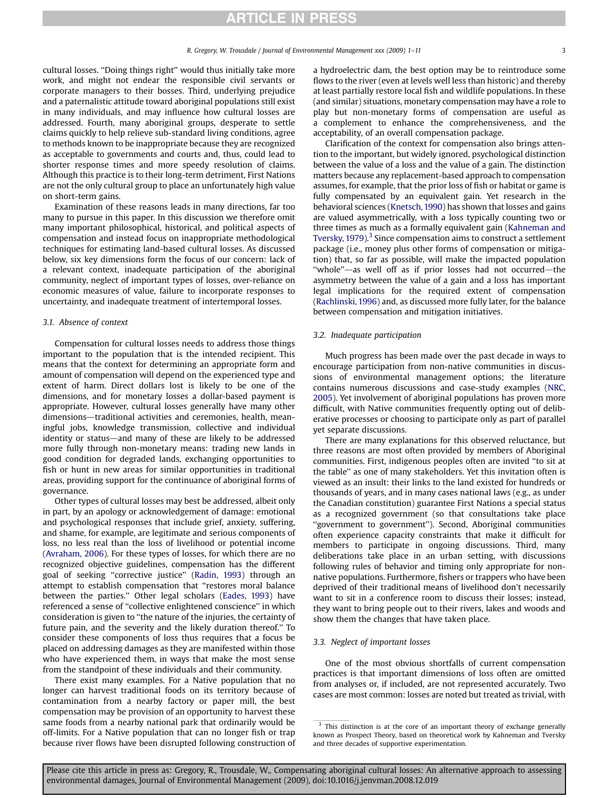cultural losses. ''Doing things right'' would thus initially take more work, and might not endear the responsible civil servants or corporate managers to their bosses. Third, underlying prejudice and a paternalistic attitude toward aboriginal populations still exist in many individuals, and may influence how cultural losses are addressed. Fourth, many aboriginal groups, desperate to settle claims quickly to help relieve sub-standard living conditions, agree to methods known to be inappropriate because they are recognized as acceptable to governments and courts and, thus, could lead to shorter response times and more speedy resolution of claims. Although this practice is to their long-term detriment, First Nations are not the only cultural group to place an unfortunately high value on short-term gains.

Examination of these reasons leads in many directions, far too many to pursue in this paper. In this discussion we therefore omit many important philosophical, historical, and political aspects of compensation and instead focus on inappropriate methodological techniques for estimating land-based cultural losses. As discussed below, six key dimensions form the focus of our concern: lack of a relevant context, inadequate participation of the aboriginal community, neglect of important types of losses, over-reliance on economic measures of value, failure to incorporate responses to uncertainty, and inadequate treatment of intertemporal losses.

### 3.1. Absence of context

Compensation for cultural losses needs to address those things important to the population that is the intended recipient. This means that the context for determining an appropriate form and amount of compensation will depend on the experienced type and extent of harm. Direct dollars lost is likely to be one of the dimensions, and for monetary losses a dollar-based payment is appropriate. However, cultural losses generally have many other dimensions-traditional activities and ceremonies, health, meaningful jobs, knowledge transmission, collective and individual identity or status—and many of these are likely to be addressed more fully through non-monetary means: trading new lands in good condition for degraded lands, exchanging opportunities to fish or hunt in new areas for similar opportunities in traditional areas, providing support for the continuance of aboriginal forms of governance.

Other types of cultural losses may best be addressed, albeit only in part, by an apology or acknowledgement of damage: emotional and psychological responses that include grief, anxiety, suffering, and shame, for example, are legitimate and serious components of loss, no less real than the loss of livelihood or potential income ([Avraham, 2006](#page-10-0)). For these types of losses, for which there are no recognized objective guidelines, compensation has the different goal of seeking ''corrective justice'' ([Radin, 1993](#page-10-0)) through an attempt to establish compensation that ''restores moral balance between the parties.'' Other legal scholars ([Eades, 1993\)](#page-10-0) have referenced a sense of ''collective enlightened conscience'' in which consideration is given to ''the nature of the injuries, the certainty of future pain, and the severity and the likely duration thereof.'' To consider these components of loss thus requires that a focus be placed on addressing damages as they are manifested within those who have experienced them, in ways that make the most sense from the standpoint of these individuals and their community.

There exist many examples. For a Native population that no longer can harvest traditional foods on its territory because of contamination from a nearby factory or paper mill, the best compensation may be provision of an opportunity to harvest these same foods from a nearby national park that ordinarily would be off-limits. For a Native population that can no longer fish or trap because river flows have been disrupted following construction of a hydroelectric dam, the best option may be to reintroduce some flows to the river (even at levels well less than historic) and thereby at least partially restore local fish and wildlife populations. In these (and similar) situations, monetary compensation may have a role to play but non-monetary forms of compensation are useful as a complement to enhance the comprehensiveness, and the acceptability, of an overall compensation package.

Clarification of the context for compensation also brings attention to the important, but widely ignored, psychological distinction between the value of a loss and the value of a gain. The distinction matters because any replacement-based approach to compensation assumes, for example, that the prior loss of fish or habitat or game is fully compensated by an equivalent gain. Yet research in the behavioral sciences [\(Knetsch, 1990](#page-10-0)) has shown that losses and gains are valued asymmetrically, with a loss typically counting two or three times as much as a formally equivalent gain [\(Kahneman and](#page-10-0) [Tversky, 1979\)](#page-10-0).<sup>3</sup> Since compensation aims to construct a settlement package (i.e., money plus other forms of compensation or mitigation) that, so far as possible, will make the impacted population "whole"-as well off as if prior losses had not occurred-the asymmetry between the value of a gain and a loss has important legal implications for the required extent of compensation ([Rachlinski, 1996\)](#page-10-0) and, as discussed more fully later, for the balance between compensation and mitigation initiatives.

#### 3.2. Inadequate participation

Much progress has been made over the past decade in ways to encourage participation from non-native communities in discussions of environmental management options; the literature contains numerous discussions and case-study examples ([NRC,](#page-10-0) [2005\)](#page-10-0). Yet involvement of aboriginal populations has proven more difficult, with Native communities frequently opting out of deliberative processes or choosing to participate only as part of parallel yet separate discussions.

There are many explanations for this observed reluctance, but three reasons are most often provided by members of Aboriginal communities. First, indigenous peoples often are invited ''to sit at the table'' as one of many stakeholders. Yet this invitation often is viewed as an insult: their links to the land existed for hundreds or thousands of years, and in many cases national laws (e.g., as under the Canadian constitution) guarantee First Nations a special status as a recognized government (so that consultations take place ''government to government''). Second, Aboriginal communities often experience capacity constraints that make it difficult for members to participate in ongoing discussions. Third, many deliberations take place in an urban setting, with discussions following rules of behavior and timing only appropriate for nonnative populations. Furthermore, fishers or trappers who have been deprived of their traditional means of livelihood don't necessarily want to sit in a conference room to discuss their losses; instead, they want to bring people out to their rivers, lakes and woods and show them the changes that have taken place.

#### 3.3. Neglect of important losses

One of the most obvious shortfalls of current compensation practices is that important dimensions of loss often are omitted from analyses or, if included, are not represented accurately. Two cases are most common: losses are noted but treated as trivial, with

 $3$  This distinction is at the core of an important theory of exchange generally known as Prospect Theory, based on theoretical work by Kahneman and Tversky and three decades of supportive experimentation.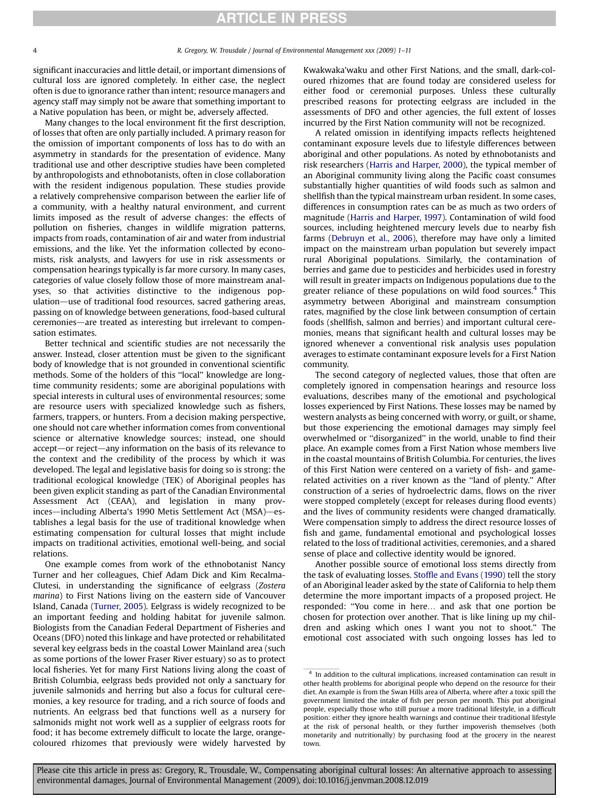significant inaccuracies and little detail, or important dimensions of cultural loss are ignored completely. In either case, the neglect often is due to ignorance rather than intent; resource managers and agency staff may simply not be aware that something important to a Native population has been, or might be, adversely affected.

Many changes to the local environment fit the first description, of losses that often are only partially included. A primary reason for the omission of important components of loss has to do with an asymmetry in standards for the presentation of evidence. Many traditional use and other descriptive studies have been completed by anthropologists and ethnobotanists, often in close collaboration with the resident indigenous population. These studies provide a relatively comprehensive comparison between the earlier life of a community, with a healthy natural environment, and current limits imposed as the result of adverse changes: the effects of pollution on fisheries, changes in wildlife migration patterns, impacts from roads, contamination of air and water from industrial emissions, and the like. Yet the information collected by economists, risk analysts, and lawyers for use in risk assessments or compensation hearings typically is far more cursory. In many cases, categories of value closely follow those of more mainstream analyses, so that activities distinctive to the indigenous population—use of traditional food resources, sacred gathering areas, passing on of knowledge between generations, food-based cultural ceremonies—are treated as interesting but irrelevant to compensation estimates.

Better technical and scientific studies are not necessarily the answer. Instead, closer attention must be given to the significant body of knowledge that is not grounded in conventional scientific methods. Some of the holders of this ''local'' knowledge are longtime community residents; some are aboriginal populations with special interests in cultural uses of environmental resources; some are resource users with specialized knowledge such as fishers, farmers, trappers, or hunters. From a decision making perspective, one should not care whether information comes from conventional science or alternative knowledge sources; instead, one should accept—or reject—any information on the basis of its relevance to the context and the credibility of the process by which it was developed. The legal and legislative basis for doing so is strong: the traditional ecological knowledge (TEK) of Aboriginal peoples has been given explicit standing as part of the Canadian Environmental Assessment Act (CEAA), and legislation in many provinces—including Alberta's 1990 Metis Settlement Act (MSA)—establishes a legal basis for the use of traditional knowledge when estimating compensation for cultural losses that might include impacts on traditional activities, emotional well-being, and social relations.

One example comes from work of the ethnobotanist Nancy Turner and her colleagues, Chief Adam Dick and Kim Recalma-Clutesi, in understanding the significance of eelgrass (Zostera marina) to First Nations living on the eastern side of Vancouver Island, Canada [\(Turner, 2005](#page-10-0)). Eelgrass is widely recognized to be an important feeding and holding habitat for juvenile salmon. Biologists from the Canadian Federal Department of Fisheries and Oceans (DFO) noted this linkage and have protected or rehabilitated several key eelgrass beds in the coastal Lower Mainland area (such as some portions of the lower Fraser River estuary) so as to protect local fisheries. Yet for many First Nations living along the coast of British Columbia, eelgrass beds provided not only a sanctuary for juvenile salmonids and herring but also a focus for cultural ceremonies, a key resource for trading, and a rich source of foods and nutrients. An eelgrass bed that functions well as a nursery for salmonids might not work well as a supplier of eelgrass roots for food; it has become extremely difficult to locate the large, orangecoloured rhizomes that previously were widely harvested by Kwakwaka'waku and other First Nations, and the small, dark-coloured rhizomes that are found today are considered useless for either food or ceremonial purposes. Unless these culturally prescribed reasons for protecting eelgrass are included in the assessments of DFO and other agencies, the full extent of losses incurred by the First Nation community will not be recognized.

A related omission in identifying impacts reflects heightened contaminant exposure levels due to lifestyle differences between aboriginal and other populations. As noted by ethnobotanists and risk researchers [\(Harris and Harper, 2000](#page-10-0)), the typical member of an Aboriginal community living along the Pacific coast consumes substantially higher quantities of wild foods such as salmon and shellfish than the typical mainstream urban resident. In some cases, differences in consumption rates can be as much as two orders of magnitude [\(Harris and Harper, 1997\)](#page-10-0). Contamination of wild food sources, including heightened mercury levels due to nearby fish farms ([Debruyn et al., 2006](#page-10-0)), therefore may have only a limited impact on the mainstream urban population but severely impact rural Aboriginal populations. Similarly, the contamination of berries and game due to pesticides and herbicides used in forestry will result in greater impacts on Indigenous populations due to the greater reliance of these populations on wild food sources. $4$  This asymmetry between Aboriginal and mainstream consumption rates, magnified by the close link between consumption of certain foods (shellfish, salmon and berries) and important cultural ceremonies, means that significant health and cultural losses may be ignored whenever a conventional risk analysis uses population averages to estimate contaminant exposure levels for a First Nation community.

The second category of neglected values, those that often are completely ignored in compensation hearings and resource loss evaluations, describes many of the emotional and psychological losses experienced by First Nations. These losses may be named by western analysts as being concerned with worry, or guilt, or shame, but those experiencing the emotional damages may simply feel overwhelmed or ''disorganized'' in the world, unable to find their place. An example comes from a First Nation whose members live in the coastal mountains of British Columbia. For centuries, the lives of this First Nation were centered on a variety of fish- and gamerelated activities on a river known as the ''land of plenty.'' After construction of a series of hydroelectric dams, flows on the river were stopped completely (except for releases during flood events) and the lives of community residents were changed dramatically. Were compensation simply to address the direct resource losses of fish and game, fundamental emotional and psychological losses related to the loss of traditional activities, ceremonies, and a shared sense of place and collective identity would be ignored.

Another possible source of emotional loss stems directly from the task of evaluating losses. [Stoffle and Evans \(1990\)](#page-10-0) tell the story of an Aboriginal leader asked by the state of California to help them determine the more important impacts of a proposed project. He responded: "You come in here... and ask that one portion be chosen for protection over another. That is like lining up my children and asking which ones I want you not to shoot.'' The emotional cost associated with such ongoing losses has led to

 $4$  In addition to the cultural implications, increased contamination can result in other health problems for aboriginal people who depend on the resource for their diet. An example is from the Swan Hills area of Alberta, where after a toxic spill the government limited the intake of fish per person per month. This put aboriginal people, especially those who still pursue a more traditional lifestyle, in a difficult position: either they ignore health warnings and continue their traditional lifestyle at the risk of personal health, or they further impoverish themselves (both monetarily and nutritionally) by purchasing food at the grocery in the nearest town.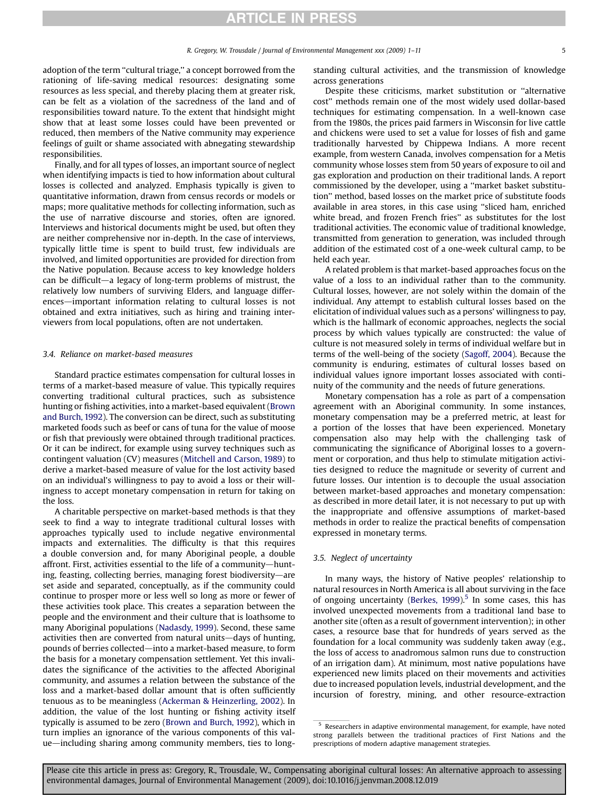adoption of the term ''cultural triage,'' a concept borrowed from the rationing of life-saving medical resources: designating some resources as less special, and thereby placing them at greater risk, can be felt as a violation of the sacredness of the land and of responsibilities toward nature. To the extent that hindsight might show that at least some losses could have been prevented or reduced, then members of the Native community may experience feelings of guilt or shame associated with abnegating stewardship responsibilities.

Finally, and for all types of losses, an important source of neglect when identifying impacts is tied to how information about cultural losses is collected and analyzed. Emphasis typically is given to quantitative information, drawn from census records or models or maps; more qualitative methods for collecting information, such as the use of narrative discourse and stories, often are ignored. Interviews and historical documents might be used, but often they are neither comprehensive nor in-depth. In the case of interviews, typically little time is spent to build trust, few individuals are involved, and limited opportunities are provided for direction from the Native population. Because access to key knowledge holders can be difficult—a legacy of long-term problems of mistrust, the relatively low numbers of surviving Elders, and language differences—important information relating to cultural losses is not obtained and extra initiatives, such as hiring and training interviewers from local populations, often are not undertaken.

#### 3.4. Reliance on market-based measures

Standard practice estimates compensation for cultural losses in terms of a market-based measure of value. This typically requires converting traditional cultural practices, such as subsistence hunting or fishing activities, into a market-based equivalent ([Brown](#page-10-0) [and Burch, 1992](#page-10-0)). The conversion can be direct, such as substituting marketed foods such as beef or cans of tuna for the value of moose or fish that previously were obtained through traditional practices. Or it can be indirect, for example using survey techniques such as contingent valuation (CV) measures ([Mitchell and Carson, 1989\)](#page-10-0) to derive a market-based measure of value for the lost activity based on an individual's willingness to pay to avoid a loss or their willingness to accept monetary compensation in return for taking on the loss.

A charitable perspective on market-based methods is that they seek to find a way to integrate traditional cultural losses with approaches typically used to include negative environmental impacts and externalities. The difficulty is that this requires a double conversion and, for many Aboriginal people, a double affront. First, activities essential to the life of a community-hunting, feasting, collecting berries, managing forest biodiversity-are set aside and separated, conceptually, as if the community could continue to prosper more or less well so long as more or fewer of these activities took place. This creates a separation between the people and the environment and their culture that is loathsome to many Aboriginal populations ([Nadasdy, 1999](#page-10-0)). Second, these same activities then are converted from natural units-days of hunting, pounds of berries collected—into a market-based measure, to form the basis for a monetary compensation settlement. Yet this invalidates the significance of the activities to the affected Aboriginal community, and assumes a relation between the substance of the loss and a market-based dollar amount that is often sufficiently tenuous as to be meaningless [\(Ackerman & Heinzerling, 2002](#page-10-0)). In addition, the value of the lost hunting or fishing activity itself typically is assumed to be zero ([Brown and Burch, 1992\)](#page-10-0), which in turn implies an ignorance of the various components of this value—including sharing among community members, ties to longstanding cultural activities, and the transmission of knowledge across generations

Despite these criticisms, market substitution or ''alternative cost'' methods remain one of the most widely used dollar-based techniques for estimating compensation. In a well-known case from the 1980s, the prices paid farmers in Wisconsin for live cattle and chickens were used to set a value for losses of fish and game traditionally harvested by Chippewa Indians. A more recent example, from western Canada, involves compensation for a Metis community whose losses stem from 50 years of exposure to oil and gas exploration and production on their traditional lands. A report commissioned by the developer, using a ''market basket substitution'' method, based losses on the market price of substitute foods available in area stores, in this case using ''sliced ham, enriched white bread, and frozen French fries'' as substitutes for the lost traditional activities. The economic value of traditional knowledge, transmitted from generation to generation, was included through addition of the estimated cost of a one-week cultural camp, to be held each year.

A related problem is that market-based approaches focus on the value of a loss to an individual rather than to the community. Cultural losses, however, are not solely within the domain of the individual. Any attempt to establish cultural losses based on the elicitation of individual values such as a persons' willingness to pay, which is the hallmark of economic approaches, neglects the social process by which values typically are constructed: the value of culture is not measured solely in terms of individual welfare but in terms of the well-being of the society [\(Sagoff, 2004](#page-10-0)). Because the community is enduring, estimates of cultural losses based on individual values ignore important losses associated with continuity of the community and the needs of future generations.

Monetary compensation has a role as part of a compensation agreement with an Aboriginal community. In some instances, monetary compensation may be a preferred metric, at least for a portion of the losses that have been experienced. Monetary compensation also may help with the challenging task of communicating the significance of Aboriginal losses to a government or corporation, and thus help to stimulate mitigation activities designed to reduce the magnitude or severity of current and future losses. Our intention is to decouple the usual association between market-based approaches and monetary compensation: as described in more detail later, it is not necessary to put up with the inappropriate and offensive assumptions of market-based methods in order to realize the practical benefits of compensation expressed in monetary terms.

#### 3.5. Neglect of uncertainty

In many ways, the history of Native peoples' relationship to natural resources in North America is all about surviving in the face of ongoing uncertainty [\(Berkes, 1999](#page-10-0)).<sup>5</sup> In some cases, this has involved unexpected movements from a traditional land base to another site (often as a result of government intervention); in other cases, a resource base that for hundreds of years served as the foundation for a local community was suddenly taken away (e.g., the loss of access to anadromous salmon runs due to construction of an irrigation dam). At minimum, most native populations have experienced new limits placed on their movements and activities due to increased population levels, industrial development, and the incursion of forestry, mining, and other resource-extraction

<sup>5</sup> Researchers in adaptive environmental management, for example, have noted strong parallels between the traditional practices of First Nations and the prescriptions of modern adaptive management strategies.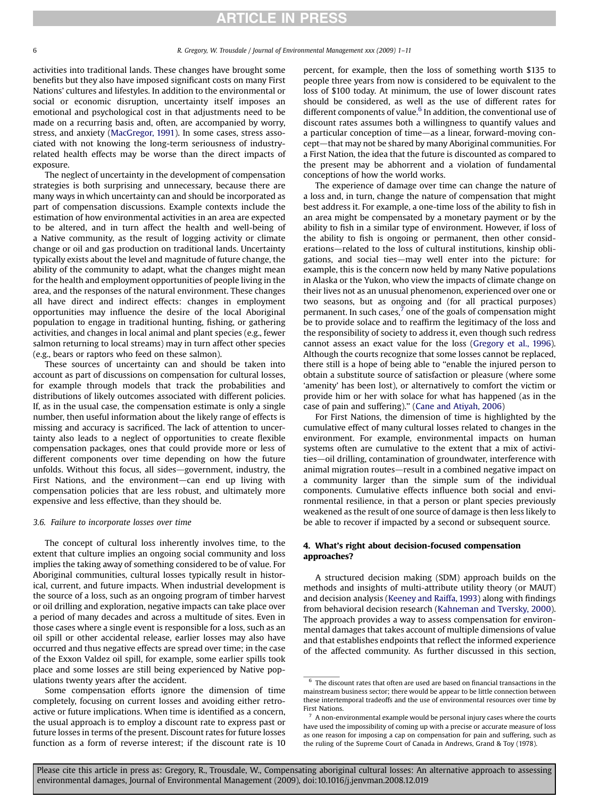activities into traditional lands. These changes have brought some benefits but they also have imposed significant costs on many First Nations' cultures and lifestyles. In addition to the environmental or social or economic disruption, uncertainty itself imposes an emotional and psychological cost in that adjustments need to be made on a recurring basis and, often, are accompanied by worry, stress, and anxiety [\(MacGregor, 1991\)](#page-10-0). In some cases, stress associated with not knowing the long-term seriousness of industryrelated health effects may be worse than the direct impacts of exposure.

The neglect of uncertainty in the development of compensation strategies is both surprising and unnecessary, because there are many ways in which uncertainty can and should be incorporated as part of compensation discussions. Example contexts include the estimation of how environmental activities in an area are expected to be altered, and in turn affect the health and well-being of a Native community, as the result of logging activity or climate change or oil and gas production on traditional lands. Uncertainty typically exists about the level and magnitude of future change, the ability of the community to adapt, what the changes might mean for the health and employment opportunities of people living in the area, and the responses of the natural environment. These changes all have direct and indirect effects: changes in employment opportunities may influence the desire of the local Aboriginal population to engage in traditional hunting, fishing, or gathering activities, and changes in local animal and plant species (e.g., fewer salmon returning to local streams) may in turn affect other species (e.g., bears or raptors who feed on these salmon).

These sources of uncertainty can and should be taken into account as part of discussions on compensation for cultural losses, for example through models that track the probabilities and distributions of likely outcomes associated with different policies. If, as in the usual case, the compensation estimate is only a single number, then useful information about the likely range of effects is missing and accuracy is sacrificed. The lack of attention to uncertainty also leads to a neglect of opportunities to create flexible compensation packages, ones that could provide more or less of different components over time depending on how the future unfolds. Without this focus, all sides-government, industry, the First Nations, and the environment-can end up living with compensation policies that are less robust, and ultimately more expensive and less effective, than they should be.

#### 3.6. Failure to incorporate losses over time

The concept of cultural loss inherently involves time, to the extent that culture implies an ongoing social community and loss implies the taking away of something considered to be of value. For Aboriginal communities, cultural losses typically result in historical, current, and future impacts. When industrial development is the source of a loss, such as an ongoing program of timber harvest or oil drilling and exploration, negative impacts can take place over a period of many decades and across a multitude of sites. Even in those cases where a single event is responsible for a loss, such as an oil spill or other accidental release, earlier losses may also have occurred and thus negative effects are spread over time; in the case of the Exxon Valdez oil spill, for example, some earlier spills took place and some losses are still being experienced by Native populations twenty years after the accident.

Some compensation efforts ignore the dimension of time completely, focusing on current losses and avoiding either retroactive or future implications. When time is identified as a concern, the usual approach is to employ a discount rate to express past or future losses in terms of the present. Discount rates for future losses function as a form of reverse interest; if the discount rate is 10 percent, for example, then the loss of something worth \$135 to people three years from now is considered to be equivalent to the loss of \$100 today. At minimum, the use of lower discount rates should be considered, as well as the use of different rates for different components of value. $6$  In addition, the conventional use of discount rates assumes both a willingness to quantify values and a particular conception of time—as a linear, forward-moving concept—that may not be shared by many Aboriginal communities. For a First Nation, the idea that the future is discounted as compared to the present may be abhorrent and a violation of fundamental conceptions of how the world works.

The experience of damage over time can change the nature of a loss and, in turn, change the nature of compensation that might best address it. For example, a one-time loss of the ability to fish in an area might be compensated by a monetary payment or by the ability to fish in a similar type of environment. However, if loss of the ability to fish is ongoing or permanent, then other considerations—related to the loss of cultural institutions, kinship obligations, and social ties-may well enter into the picture: for example, this is the concern now held by many Native populations in Alaska or the Yukon, who view the impacts of climate change on their lives not as an unusual phenomenon, experienced over one or two seasons, but as ongoing and (for all practical purposes) permanent. In such cases, $<sup>7</sup>$  one of the goals of compensation might</sup> be to provide solace and to reaffirm the legitimacy of the loss and the responsibility of society to address it, even though such redress cannot assess an exact value for the loss ([Gregory et al., 1996\)](#page-10-0). Although the courts recognize that some losses cannot be replaced, there still is a hope of being able to ''enable the injured person to obtain a substitute source of satisfaction or pleasure (where some 'amenity' has been lost), or alternatively to comfort the victim or provide him or her with solace for what has happened (as in the case of pain and suffering).'' [\(Cane and Atiyah, 2006](#page-10-0))

For First Nations, the dimension of time is highlighted by the cumulative effect of many cultural losses related to changes in the environment. For example, environmental impacts on human systems often are cumulative to the extent that a mix of activities-oil drilling, contamination of groundwater, interference with animal migration routes—result in a combined negative impact on a community larger than the simple sum of the individual components. Cumulative effects influence both social and environmental resilience, in that a person or plant species previously weakened as the result of one source of damage is then less likely to be able to recover if impacted by a second or subsequent source.

### 4. What's right about decision-focused compensation approaches?

A structured decision making (SDM) approach builds on the methods and insights of multi-attribute utility theory (or MAUT) and decision analysis [\(Keeney and Raiffa, 1993\)](#page-10-0) along with findings from behavioral decision research [\(Kahneman and Tversky, 2000\)](#page-10-0). The approach provides a way to assess compensation for environmental damages that takes account of multiple dimensions of value and that establishes endpoints that reflect the informed experience of the affected community. As further discussed in this section,

 $6$  The discount rates that often are used are based on financial transactions in the mainstream business sector; there would be appear to be little connection between these intertemporal tradeoffs and the use of environmental resources over time by First Nations.

<sup>7</sup> A non-environmental example would be personal injury cases where the courts have used the impossibility of coming up with a precise or accurate measure of loss as one reason for imposing a cap on compensation for pain and suffering, such as the ruling of the Supreme Court of Canada in Andrews, Grand & Toy (1978).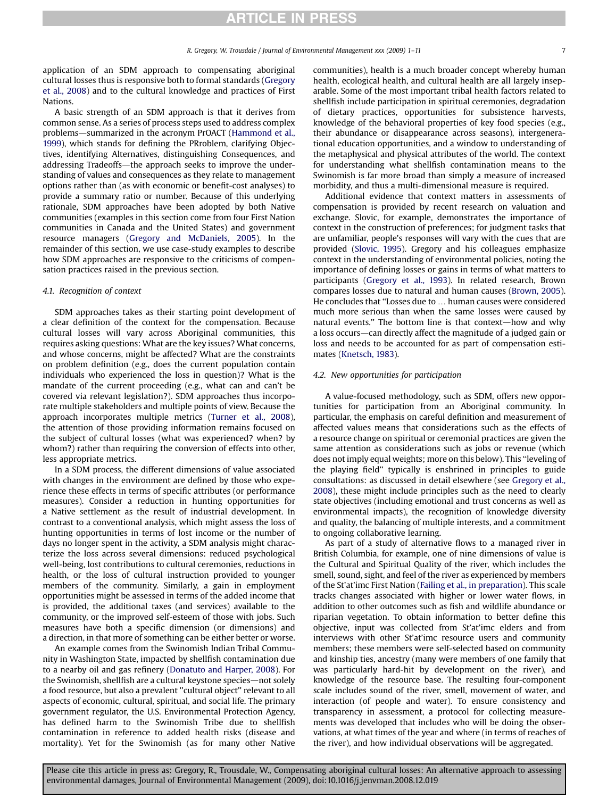application of an SDM approach to compensating aboriginal cultural losses thus is responsive both to formal standards [\(Gregory](#page-10-0) [et al., 2008\)](#page-10-0) and to the cultural knowledge and practices of First Nations.

A basic strength of an SDM approach is that it derives from common sense. As a series of process steps used to address complex problems—summarized in the acronym PrOACT [\(Hammond et al.,](#page-10-0) [1999\)](#page-10-0), which stands for defining the PRroblem, clarifying Objectives, identifying Alternatives, distinguishing Consequences, and addressing Tradeoffs-the approach seeks to improve the understanding of values and consequences as they relate to management options rather than (as with economic or benefit-cost analyses) to provide a summary ratio or number. Because of this underlying rationale, SDM approaches have been adopted by both Native communities (examples in this section come from four First Nation communities in Canada and the United States) and government resource managers ([Gregory and McDaniels, 2005\)](#page-10-0). In the remainder of this section, we use case-study examples to describe how SDM approaches are responsive to the criticisms of compensation practices raised in the previous section.

#### 4.1. Recognition of context

SDM approaches takes as their starting point development of a clear definition of the context for the compensation. Because cultural losses will vary across Aboriginal communities, this requires asking questions: What are the key issues? What concerns, and whose concerns, might be affected? What are the constraints on problem definition (e.g., does the current population contain individuals who experienced the loss in question)? What is the mandate of the current proceeding (e.g., what can and can't be covered via relevant legislation?). SDM approaches thus incorporate multiple stakeholders and multiple points of view. Because the approach incorporates multiple metrics ([Turner et al., 2008\)](#page-10-0), the attention of those providing information remains focused on the subject of cultural losses (what was experienced? when? by whom?) rather than requiring the conversion of effects into other, less appropriate metrics.

In a SDM process, the different dimensions of value associated with changes in the environment are defined by those who experience these effects in terms of specific attributes (or performance measures). Consider a reduction in hunting opportunities for a Native settlement as the result of industrial development. In contrast to a conventional analysis, which might assess the loss of hunting opportunities in terms of lost income or the number of days no longer spent in the activity, a SDM analysis might characterize the loss across several dimensions: reduced psychological well-being, lost contributions to cultural ceremonies, reductions in health, or the loss of cultural instruction provided to younger members of the community. Similarly, a gain in employment opportunities might be assessed in terms of the added income that is provided, the additional taxes (and services) available to the community, or the improved self-esteem of those with jobs. Such measures have both a specific dimension (or dimensions) and a direction, in that more of something can be either better or worse.

An example comes from the Swinomish Indian Tribal Community in Washington State, impacted by shellfish contamination due to a nearby oil and gas refinery ([Donatuto and Harper, 2008\)](#page-10-0). For the Swinomish, shellfish are a cultural keystone species—not solely a food resource, but also a prevalent ''cultural object'' relevant to all aspects of economic, cultural, spiritual, and social life. The primary government regulator, the U.S. Environmental Protection Agency, has defined harm to the Swinomish Tribe due to shellfish contamination in reference to added health risks (disease and mortality). Yet for the Swinomish (as for many other Native

communities), health is a much broader concept whereby human health, ecological health, and cultural health are all largely inseparable. Some of the most important tribal health factors related to shellfish include participation in spiritual ceremonies, degradation of dietary practices, opportunities for subsistence harvests, knowledge of the behavioral properties of key food species (e.g., their abundance or disappearance across seasons), intergenerational education opportunities, and a window to understanding of the metaphysical and physical attributes of the world. The context for understanding what shellfish contamination means to the Swinomish is far more broad than simply a measure of increased morbidity, and thus a multi-dimensional measure is required.

Additional evidence that context matters in assessments of compensation is provided by recent research on valuation and exchange. Slovic, for example, demonstrates the importance of context in the construction of preferences; for judgment tasks that are unfamiliar, people's responses will vary with the cues that are provided ([Slovic, 1995](#page-10-0)). Gregory and his colleagues emphasize context in the understanding of environmental policies, noting the importance of defining losses or gains in terms of what matters to participants ([Gregory et al., 1993](#page-10-0)). In related research, Brown compares losses due to natural and human causes ([Brown, 2005\)](#page-10-0). He concludes that "Losses due to ... human causes were considered much more serious than when the same losses were caused by natural events." The bottom line is that context-how and why a loss occurs-can directly affect the magnitude of a judged gain or loss and needs to be accounted for as part of compensation estimates ([Knetsch, 1983](#page-10-0)).

#### 4.2. New opportunities for participation

A value-focused methodology, such as SDM, offers new opportunities for participation from an Aboriginal community. In particular, the emphasis on careful definition and measurement of affected values means that considerations such as the effects of a resource change on spiritual or ceremonial practices are given the same attention as considerations such as jobs or revenue (which does not imply equal weights; more on this below). This ''leveling of the playing field'' typically is enshrined in principles to guide consultations: as discussed in detail elsewhere (see [Gregory et al.,](#page-10-0) [2008\)](#page-10-0), these might include principles such as the need to clearly state objectives (including emotional and trust concerns as well as environmental impacts), the recognition of knowledge diversity and quality, the balancing of multiple interests, and a commitment to ongoing collaborative learning.

As part of a study of alternative flows to a managed river in British Columbia, for example, one of nine dimensions of value is the Cultural and Spiritual Quality of the river, which includes the smell, sound, sight, and feel of the river as experienced by members of the St'at'imc First Nation ([Failing et al., in preparation\)](#page-10-0). This scale tracks changes associated with higher or lower water flows, in addition to other outcomes such as fish and wildlife abundance or riparian vegetation. To obtain information to better define this objective, input was collected from St'at'imc elders and from interviews with other St'at'imc resource users and community members; these members were self-selected based on community and kinship ties, ancestry (many were members of one family that was particularly hard-hit by development on the river), and knowledge of the resource base. The resulting four-component scale includes sound of the river, smell, movement of water, and interaction (of people and water). To ensure consistency and transparency in assessment, a protocol for collecting measurements was developed that includes who will be doing the observations, at what times of the year and where (in terms of reaches of the river), and how individual observations will be aggregated.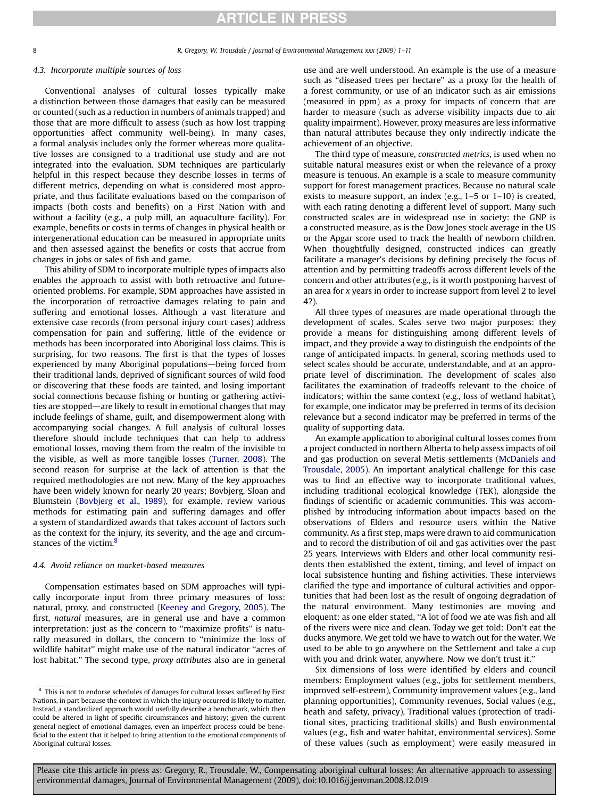### 4.3. Incorporate multiple sources of loss

Conventional analyses of cultural losses typically make a distinction between those damages that easily can be measured or counted (such as a reduction in numbers of animals trapped) and those that are more difficult to assess (such as how lost trapping opportunities affect community well-being). In many cases, a formal analysis includes only the former whereas more qualitative losses are consigned to a traditional use study and are not integrated into the evaluation. SDM techniques are particularly helpful in this respect because they describe losses in terms of different metrics, depending on what is considered most appropriate, and thus facilitate evaluations based on the comparison of impacts (both costs and benefits) on a First Nation with and without a facility (e.g., a pulp mill, an aquaculture facility). For example, benefits or costs in terms of changes in physical health or intergenerational education can be measured in appropriate units and then assessed against the benefits or costs that accrue from changes in jobs or sales of fish and game.

This ability of SDM to incorporate multiple types of impacts also enables the approach to assist with both retroactive and futureoriented problems. For example, SDM approaches have assisted in the incorporation of retroactive damages relating to pain and suffering and emotional losses. Although a vast literature and extensive case records (from personal injury court cases) address compensation for pain and suffering, little of the evidence or methods has been incorporated into Aboriginal loss claims. This is surprising, for two reasons. The first is that the types of losses experienced by many Aboriginal populations—being forced from their traditional lands, deprived of significant sources of wild food or discovering that these foods are tainted, and losing important social connections because fishing or hunting or gathering activities are stopped—are likely to result in emotional changes that may include feelings of shame, guilt, and disempowerment along with accompanying social changes. A full analysis of cultural losses therefore should include techniques that can help to address emotional losses, moving them from the realm of the invisible to the visible, as well as more tangible losses ([Turner, 2008](#page-10-0)). The second reason for surprise at the lack of attention is that the required methodologies are not new. Many of the key approaches have been widely known for nearly 20 years; Bovbjerg, Sloan and Blumstein ([Bovbjerg et al., 1989\)](#page-10-0), for example, review various methods for estimating pain and suffering damages and offer a system of standardized awards that takes account of factors such as the context for the injury, its severity, and the age and circumstances of the victim. $8$ 

### 4.4. Avoid reliance on market-based measures

Compensation estimates based on SDM approaches will typically incorporate input from three primary measures of loss: natural, proxy, and constructed ([Keeney and Gregory, 2005\)](#page-10-0). The first, natural measures, are in general use and have a common interpretation: just as the concern to ''maximize profits'' is naturally measured in dollars, the concern to ''minimize the loss of wildlife habitat'' might make use of the natural indicator ''acres of lost habitat.'' The second type, proxy attributes also are in general use and are well understood. An example is the use of a measure such as ''diseased trees per hectare'' as a proxy for the health of a forest community, or use of an indicator such as air emissions (measured in ppm) as a proxy for impacts of concern that are harder to measure (such as adverse visibility impacts due to air quality impairment). However, proxy measures are less informative than natural attributes because they only indirectly indicate the achievement of an objective.

The third type of measure, constructed metrics, is used when no suitable natural measures exist or when the relevance of a proxy measure is tenuous. An example is a scale to measure community support for forest management practices. Because no natural scale exists to measure support, an index (e.g., 1–5 or 1–10) is created, with each rating denoting a different level of support. Many such constructed scales are in widespread use in society: the GNP is a constructed measure, as is the Dow Jones stock average in the US or the Apgar score used to track the health of newborn children. When thoughtfully designed, constructed indices can greatly facilitate a manager's decisions by defining precisely the focus of attention and by permitting tradeoffs across different levels of the concern and other attributes (e.g., is it worth postponing harvest of an area for x years in order to increase support from level 2 to level 4?).

All three types of measures are made operational through the development of scales. Scales serve two major purposes: they provide a means for distinguishing among different levels of impact, and they provide a way to distinguish the endpoints of the range of anticipated impacts. In general, scoring methods used to select scales should be accurate, understandable, and at an appropriate level of discrimination. The development of scales also facilitates the examination of tradeoffs relevant to the choice of indicators; within the same context (e.g., loss of wetland habitat), for example, one indicator may be preferred in terms of its decision relevance but a second indicator may be preferred in terms of the quality of supporting data.

An example application to aboriginal cultural losses comes from a project conducted in northern Alberta to help assess impacts of oil and gas production on several Metis settlements [\(McDaniels and](#page-10-0) [Trousdale, 2005](#page-10-0)). An important analytical challenge for this case was to find an effective way to incorporate traditional values, including traditional ecological knowledge (TEK), alongside the findings of scientific or academic communities. This was accomplished by introducing information about impacts based on the observations of Elders and resource users within the Native community. As a first step, maps were drawn to aid communication and to record the distribution of oil and gas activities over the past 25 years. Interviews with Elders and other local community residents then established the extent, timing, and level of impact on local subsistence hunting and fishing activities. These interviews clarified the type and importance of cultural activities and opportunities that had been lost as the result of ongoing degradation of the natural environment. Many testimonies are moving and eloquent: as one elder stated, ''A lot of food we ate was fish and all of the rivers were nice and clean. Today we get told: Don't eat the ducks anymore. We get told we have to watch out for the water. We used to be able to go anywhere on the Settlement and take a cup with you and drink water, anywhere. Now we don't trust it.''

Six dimensions of loss were identified by elders and council members: Employment values (e.g., jobs for settlement members, improved self-esteem), Community improvement values (e.g., land planning opportunities), Community revenues, Social values (e.g., heath and safety, privacy), Traditional values (protection of traditional sites, practicing traditional skills) and Bush environmental values (e.g., fish and water habitat, environmental services). Some of these values (such as employment) were easily measured in

 $8$  This is not to endorse schedules of damages for cultural losses suffered by First Nations, in part because the context in which the injury occurred is likely to matter. Instead, a standardized approach would usefully describe a benchmark, which then could be altered in light of specific circumstances and history; given the current general neglect of emotional damages, even an imperfect process could be beneficial to the extent that it helped to bring attention to the emotional components of Aboriginal cultural losses.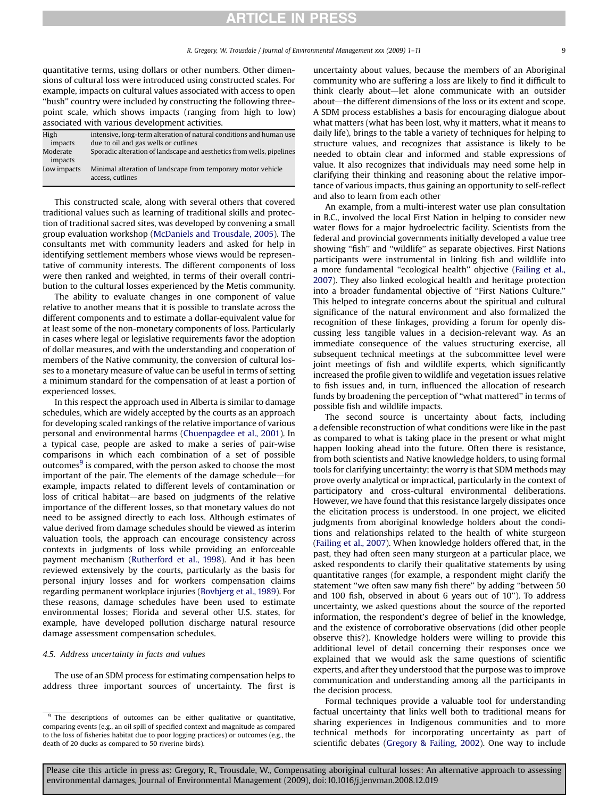quantitative terms, using dollars or other numbers. Other dimensions of cultural loss were introduced using constructed scales. For example, impacts on cultural values associated with access to open ''bush'' country were included by constructing the following threepoint scale, which shows impacts (ranging from high to low) associated with various development activities.

| High                | intensive, long-term alteration of natural conditions and human use              |
|---------------------|----------------------------------------------------------------------------------|
| impacts             | due to oil and gas wells or cutlines                                             |
| Moderate<br>impacts | Sporadic alteration of landscape and aesthetics from wells, pipelines            |
| Low impacts         | Minimal alteration of landscape from temporary motor vehicle<br>access, cutlines |

This constructed scale, along with several others that covered traditional values such as learning of traditional skills and protection of traditional sacred sites, was developed by convening a small group evaluation workshop ([McDaniels and Trousdale, 2005](#page-10-0)). The consultants met with community leaders and asked for help in identifying settlement members whose views would be representative of community interests. The different components of loss were then ranked and weighted, in terms of their overall contribution to the cultural losses experienced by the Metis community.

The ability to evaluate changes in one component of value relative to another means that it is possible to translate across the different components and to estimate a dollar-equivalent value for at least some of the non-monetary components of loss. Particularly in cases where legal or legislative requirements favor the adoption of dollar measures, and with the understanding and cooperation of members of the Native community, the conversion of cultural losses to a monetary measure of value can be useful in terms of setting a minimum standard for the compensation of at least a portion of experienced losses.

In this respect the approach used in Alberta is similar to damage schedules, which are widely accepted by the courts as an approach for developing scaled rankings of the relative importance of various personal and environmental harms [\(Chuenpagdee et al., 2001](#page-10-0)). In a typical case, people are asked to make a series of pair-wise comparisons in which each combination of a set of possible outcomes $9$  is compared, with the person asked to choose the most important of the pair. The elements of the damage schedule-for example, impacts related to different levels of contamination or loss of critical habitat—are based on judgments of the relative importance of the different losses, so that monetary values do not need to be assigned directly to each loss. Although estimates of value derived from damage schedules should be viewed as interim valuation tools, the approach can encourage consistency across contexts in judgments of loss while providing an enforceable payment mechanism ([Rutherford et al., 1998](#page-10-0)). And it has been reviewed extensively by the courts, particularly as the basis for personal injury losses and for workers compensation claims regarding permanent workplace injuries ([Bovbjerg et al., 1989\)](#page-10-0). For these reasons, damage schedules have been used to estimate environmental losses; Florida and several other U.S. states, for example, have developed pollution discharge natural resource damage assessment compensation schedules.

#### 4.5. Address uncertainty in facts and values

The use of an SDM process for estimating compensation helps to address three important sources of uncertainty. The first is uncertainty about values, because the members of an Aboriginal community who are suffering a loss are likely to find it difficult to think clearly about-let alone communicate with an outsider about—the different dimensions of the loss or its extent and scope. A SDM process establishes a basis for encouraging dialogue about what matters (what has been lost, why it matters, what it means to daily life), brings to the table a variety of techniques for helping to structure values, and recognizes that assistance is likely to be needed to obtain clear and informed and stable expressions of value. It also recognizes that individuals may need some help in clarifying their thinking and reasoning about the relative importance of various impacts, thus gaining an opportunity to self-reflect and also to learn from each other

An example, from a multi-interest water use plan consultation in B.C., involved the local First Nation in helping to consider new water flows for a major hydroelectric facility. Scientists from the federal and provincial governments initially developed a value tree showing ''fish'' and ''wildlife'' as separate objectives. First Nations participants were instrumental in linking fish and wildlife into a more fundamental ''ecological health'' objective ([Failing et al.,](#page-10-0) [2007\)](#page-10-0). They also linked ecological health and heritage protection into a broader fundamental objective of ''First Nations Culture.'' This helped to integrate concerns about the spiritual and cultural significance of the natural environment and also formalized the recognition of these linkages, providing a forum for openly discussing less tangible values in a decision-relevant way. As an immediate consequence of the values structuring exercise, all subsequent technical meetings at the subcommittee level were joint meetings of fish and wildlife experts, which significantly increased the profile given to wildlife and vegetation issues relative to fish issues and, in turn, influenced the allocation of research funds by broadening the perception of ''what mattered'' in terms of possible fish and wildlife impacts.

The second source is uncertainty about facts, including a defensible reconstruction of what conditions were like in the past as compared to what is taking place in the present or what might happen looking ahead into the future. Often there is resistance, from both scientists and Native knowledge holders, to using formal tools for clarifying uncertainty; the worry is that SDM methods may prove overly analytical or impractical, particularly in the context of participatory and cross-cultural environmental deliberations. However, we have found that this resistance largely dissipates once the elicitation process is understood. In one project, we elicited judgments from aboriginal knowledge holders about the conditions and relationships related to the health of white sturgeon ([Failing et al., 2007\)](#page-10-0). When knowledge holders offered that, in the past, they had often seen many sturgeon at a particular place, we asked respondents to clarify their qualitative statements by using quantitative ranges (for example, a respondent might clarify the statement ''we often saw many fish there'' by adding ''between 50 and 100 fish, observed in about 6 years out of 10''). To address uncertainty, we asked questions about the source of the reported information, the respondent's degree of belief in the knowledge, and the existence of corroborative observations (did other people observe this?). Knowledge holders were willing to provide this additional level of detail concerning their responses once we explained that we would ask the same questions of scientific experts, and after they understood that the purpose was to improve communication and understanding among all the participants in the decision process.

Formal techniques provide a valuable tool for understanding factual uncertainty that links well both to traditional means for sharing experiences in Indigenous communities and to more technical methods for incorporating uncertainty as part of scientific debates [\(Gregory & Failing, 2002](#page-10-0)). One way to include

 $\frac{9}{9}$  The descriptions of outcomes can be either qualitative or quantitative, comparing events (e.g., an oil spill of specified context and magnitude as compared to the loss of fisheries habitat due to poor logging practices) or outcomes (e.g., the death of 20 ducks as compared to 50 riverine birds).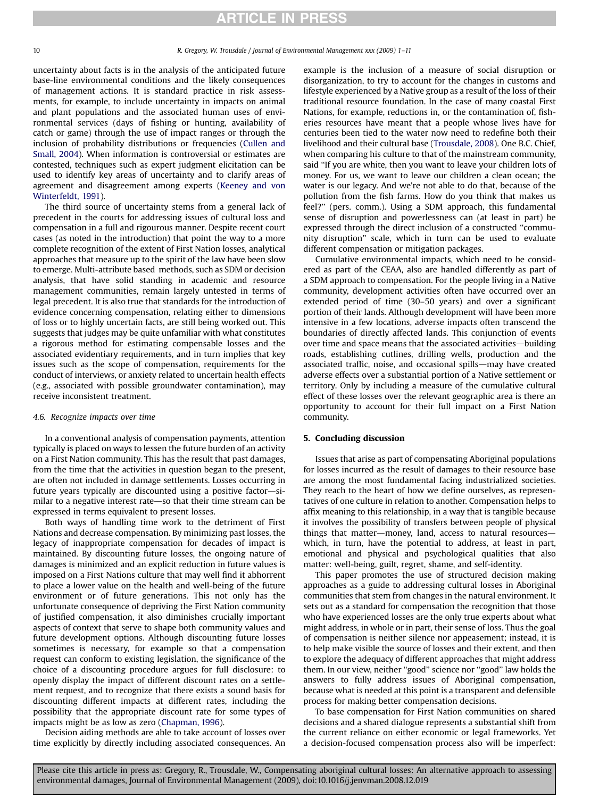uncertainty about facts is in the analysis of the anticipated future base-line environmental conditions and the likely consequences of management actions. It is standard practice in risk assessments, for example, to include uncertainty in impacts on animal and plant populations and the associated human uses of environmental services (days of fishing or hunting, availability of catch or game) through the use of impact ranges or through the inclusion of probability distributions or frequencies ([Cullen and](#page-10-0) [Small, 2004](#page-10-0)). When information is controversial or estimates are contested, techniques such as expert judgment elicitation can be used to identify key areas of uncertainty and to clarify areas of agreement and disagreement among experts [\(Keeney and von](#page-10-0) [Winterfeldt, 1991\)](#page-10-0).

The third source of uncertainty stems from a general lack of precedent in the courts for addressing issues of cultural loss and compensation in a full and rigourous manner. Despite recent court cases (as noted in the introduction) that point the way to a more complete recognition of the extent of First Nation losses, analytical approaches that measure up to the spirit of the law have been slow to emerge. Multi-attribute based methods, such as SDM or decision analysis, that have solid standing in academic and resource management communities, remain largely untested in terms of legal precedent. It is also true that standards for the introduction of evidence concerning compensation, relating either to dimensions of loss or to highly uncertain facts, are still being worked out. This suggests that judges may be quite unfamiliar with what constitutes a rigorous method for estimating compensable losses and the associated evidentiary requirements, and in turn implies that key issues such as the scope of compensation, requirements for the conduct of interviews, or anxiety related to uncertain health effects (e.g., associated with possible groundwater contamination), may receive inconsistent treatment.

#### 4.6. Recognize impacts over time

In a conventional analysis of compensation payments, attention typically is placed on ways to lessen the future burden of an activity on a First Nation community. This has the result that past damages, from the time that the activities in question began to the present, are often not included in damage settlements. Losses occurring in future years typically are discounted using a positive factor-similar to a negative interest rate—so that their time stream can be expressed in terms equivalent to present losses.

Both ways of handling time work to the detriment of First Nations and decrease compensation. By minimizing past losses, the legacy of inappropriate compensation for decades of impact is maintained. By discounting future losses, the ongoing nature of damages is minimized and an explicit reduction in future values is imposed on a First Nations culture that may well find it abhorrent to place a lower value on the health and well-being of the future environment or of future generations. This not only has the unfortunate consequence of depriving the First Nation community of justified compensation, it also diminishes crucially important aspects of context that serve to shape both community values and future development options. Although discounting future losses sometimes is necessary, for example so that a compensation request can conform to existing legislation, the significance of the choice of a discounting procedure argues for full disclosure: to openly display the impact of different discount rates on a settlement request, and to recognize that there exists a sound basis for discounting different impacts at different rates, including the possibility that the appropriate discount rate for some types of impacts might be as low as zero [\(Chapman, 1996](#page-10-0)).

Decision aiding methods are able to take account of losses over time explicitly by directly including associated consequences. An example is the inclusion of a measure of social disruption or disorganization, to try to account for the changes in customs and lifestyle experienced by a Native group as a result of the loss of their traditional resource foundation. In the case of many coastal First Nations, for example, reductions in, or the contamination of, fisheries resources have meant that a people whose lives have for centuries been tied to the water now need to redefine both their livelihood and their cultural base [\(Trousdale, 2008](#page-10-0)). One B.C. Chief, when comparing his culture to that of the mainstream community, said ''If you are white, then you want to leave your children lots of money. For us, we want to leave our children a clean ocean; the water is our legacy. And we're not able to do that, because of the pollution from the fish farms. How do you think that makes us feel?'' (pers. comm.). Using a SDM approach, this fundamental sense of disruption and powerlessness can (at least in part) be expressed through the direct inclusion of a constructed ''community disruption'' scale, which in turn can be used to evaluate different compensation or mitigation packages.

Cumulative environmental impacts, which need to be considered as part of the CEAA, also are handled differently as part of a SDM approach to compensation. For the people living in a Native community, development activities often have occurred over an extended period of time (30–50 years) and over a significant portion of their lands. Although development will have been more intensive in a few locations, adverse impacts often transcend the boundaries of directly affected lands. This conjunction of events over time and space means that the associated activities-building roads, establishing cutlines, drilling wells, production and the associated traffic, noise, and occasional spills—may have created adverse effects over a substantial portion of a Native settlement or territory. Only by including a measure of the cumulative cultural effect of these losses over the relevant geographic area is there an opportunity to account for their full impact on a First Nation community.

#### 5. Concluding discussion

Issues that arise as part of compensating Aboriginal populations for losses incurred as the result of damages to their resource base are among the most fundamental facing industrialized societies. They reach to the heart of how we define ourselves, as representatives of one culture in relation to another. Compensation helps to affix meaning to this relationship, in a way that is tangible because it involves the possibility of transfers between people of physical things that matter-money, land, access to natural resourceswhich, in turn, have the potential to address, at least in part, emotional and physical and psychological qualities that also matter: well-being, guilt, regret, shame, and self-identity.

This paper promotes the use of structured decision making approaches as a guide to addressing cultural losses in Aboriginal communities that stem from changes in the natural environment. It sets out as a standard for compensation the recognition that those who have experienced losses are the only true experts about what might address, in whole or in part, their sense of loss. Thus the goal of compensation is neither silence nor appeasement; instead, it is to help make visible the source of losses and their extent, and then to explore the adequacy of different approaches that might address them. In our view, neither ''good'' science nor ''good'' law holds the answers to fully address issues of Aboriginal compensation, because what is needed at this point is a transparent and defensible process for making better compensation decisions.

To base compensation for First Nation communities on shared decisions and a shared dialogue represents a substantial shift from the current reliance on either economic or legal frameworks. Yet a decision-focused compensation process also will be imperfect: